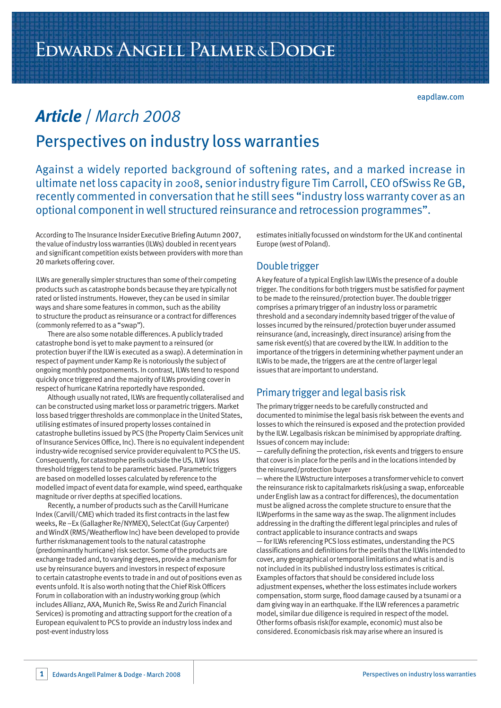# *Article* / *March 2008* Perspectives on industry loss warranties

Against a widely reported background of softening rates, and a marked increase in ultimate net loss capacity in 2008, senior industry figure Tim Carroll, CEO ofSwiss Re GB, recently commented in conversation that he still sees "industry loss warranty cover as an optional component in well structured reinsurance and retrocession programmes".

According to The Insurance Insider Executive Briefing Autumn 2007, the value of industry loss warranties (ILWs) doubled in recent years and significant competition exists between providers with more than 20 markets offering cover.

ILWs are generally simpler structures than some of their competing products such as catastrophe bonds because they are typically not rated or listed instruments. However, they can be used in similar ways and share some features in common, such as the ability to structure the product as reinsurance or a contract for differences (commonly referred to as a "swap").

There are also some notable differences. A publicly traded catastrophe bond is yet to make payment to a reinsured (or protection buyer if the ILW is executed as a swap). A determination in respect of payment under Kamp Re is notoriously the subject of ongoing monthly postponements. In contrast, ILWs tend to respond quickly once triggered and the majority of ILWs providing cover in respect of hurricane Katrina reportedly have responded.

Although usually not rated, ILWs are frequently collateralised and can be constructed using market loss or parametric triggers. Market loss based trigger thresholds are commonplace in the United States, utilising estimates of insured property losses contained in catastrophe bulletins issued by PCS (the Property Claim Services unit of Insurance Services Office, Inc). There is no equivalent independent industry-wide recognised service provider equivalent to PCS the US. Consequently, for catastrophe perils outside the US, ILW loss threshold triggers tend to be parametric based. Parametric triggers are based on modelled losses calculated by reference to the modelled impact of event data for example, wind speed, earthquake magnitude or river depths at specified locations.

Recently, a number of products such as the Carvill Hurricane Index (Carvill/CME) which traded its first contracts in the last few weeks, Re –Ex (Gallagher Re/NYMEX), SelectCat (Guy Carpenter) and WindX (RMS/Weatherflow Inc) have been developed to provide further riskmanagement tools to the natural catastrophe (predominantly hurricane) risk sector. Some of the products are exchange traded and, to varying degrees, provide a mechanism for use by reinsurance buyers and investors in respect of exposure to certain catastrophe events to trade in and out of positions even as events unfold. It is also worth noting that the Chief Risk Officers Forum in collaboration with an industry working group (which includes Allianz, AXA, Munich Re, Swiss Re and Zurich Financial Services) is promoting and attracting support for the creation of a European equivalent to PCS to provide an industry loss index and post-event industry loss

estimates initially focussed on windstorm for the UK and continental Europe (west of Poland).

#### Double trigger

A key feature of a typical English law ILWis the presence of a double trigger. The conditions for both triggers must be satisfied for payment to be made to the reinsured/protection buyer. The double trigger comprises a primary trigger of an industry loss or parametric threshold and a secondary indemnity based trigger of the value of losses incurred by the reinsured/protection buyer under assumed reinsurance (and, increasingly, direct insurance) arising from the same risk event(s) that are covered by the ILW. In addition to the importance of the triggers in determining whether payment under an ILWis to be made, the triggers are at the centre of larger legal issues that are important to understand.

## Primary trigger and legal basis risk

The primary trigger needs to be carefully constructed and documented to minimise the legal basis risk between the events and losses to which the reinsured is exposed and the protection provided by the ILW. Legalbasis riskcan be minimised by appropriate drafting. Issues of concern may include:

— carefully defining the protection, riskevents and triggers to ensure that cover is in place for the perils and in the locations intended by the reinsured/protection buyer

— where the ILWstructure interposes a transformer vehicle to convert the reinsurance risk to capitalmarkets risk(using a swap, enforceable under English law as a contract for differences), the documentation must be aligned across the complete structure to ensure that the ILWperforms in the same way as the swap. The alignment includes addressing in the drafting the different legal principles and rules of contract applicable to insurance contracts and swaps

— for ILWs referencing PCS loss estimates, understanding the PCS classifications and definitions for the perils that the ILWis intended to cover, any geographical or temporal limitations and what is and is not included in its published industry loss estimates is critical. Examples of factors that should be considered include loss adjustment expenses, whether the loss estimates include workers compensation, storm surge, flood damage caused by a tsunami or a dam giving way in an earthquake. If the ILW references a parametric model, similar due diligence is required in respect of the model. Other forms ofbasis risk(for example, economic) must also be considered. Economicbasis risk may arise where an insured is